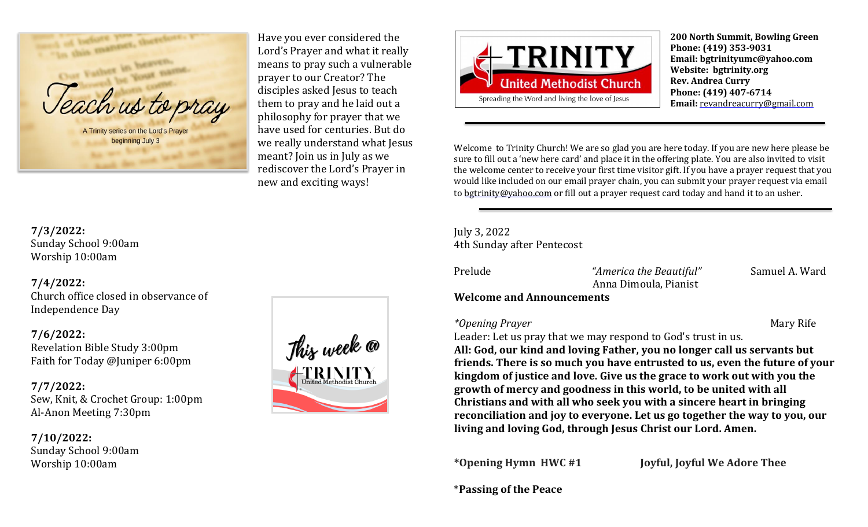

Have you ever considered the Lord's Prayer and what it really means to pray such a vulnerable prayer to our Creator? The disciples asked Jesus to teach them to pray and he laid out a philosophy for prayer that we have used for centuries. But do we really understand what Jesus meant? Join us in July as we rediscover the Lord's Prayer in new and exciting ways!



**200 North Summit, Bowling Green Phone: (419) 353-9031 Email: bgtrinityumc@yahoo.com Website: bgtrinity.org Rev. Andrea Curry Phone: (419) 407-6714 Email:** [revandreacurry@gmail.com](mailto:revandreacurry@gmail.com)

Welcome to Trinity Church! We are so glad you are here today. If you are new here please be sure to fill out a 'new here card' and place it in the offering plate. You are also invited to visit the welcome center to receive your first time visitor gift. If you have a prayer request that you would like included on our email prayer chain, you can submit your prayer request via email to [bgtrinity@yahoo.com](mailto:bgtrinity@yahoo.com) or fill out a prayer request card today and hand it to an usher.

July 3, 2022 4th Sunday after Pentecost

Prelude *"America the Beautiful"* Samuel A. Ward Anna Dimoula, Pianist

# **Welcome and Announcements**

*\*Opening Prayer* Mary Rife

Leader: Let us pray that we may respond to God's trust in us. **All: God, our kind and loving Father, you no longer call us servants but friends. There is so much you have entrusted to us, even the future of your kingdom of justice and love. Give us the grace to work out with you the growth of mercy and goodness in this world, to be united with all Christians and with all who seek you with a sincere heart in bringing reconciliation and joy to everyone. Let us go together the way to you, our living and loving God, through Jesus Christ our Lord. Amen.**

**\*Opening Hymn HWC #1 Joyful, Joyful We Adore Thee**

\***Passing of the Peace**

**7/3/2022:** Sunday School 9:00am Worship 10:00am

# **7/4/2022:**

Church office closed in observance of Independence Day

# **7/6/2022:**

Revelation Bible Study 3:00pm Faith for Today @Juniper 6:00pm

# **7/7/2022:** Sew, Knit, & Crochet Group: 1:00pm Al-Anon Meeting 7:30pm

**7/10/2022:** Sunday School 9:00am Worship 10:00am

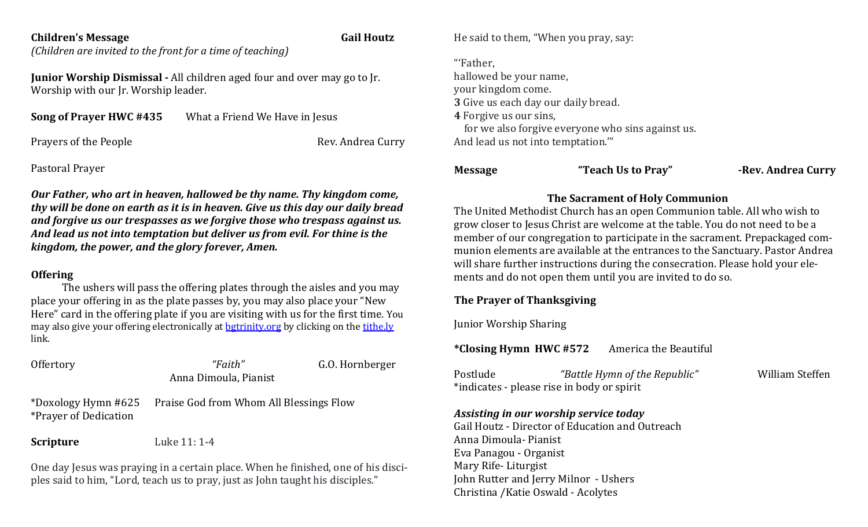### **Children's Message Gail Houtz**

*(Children are invited to the front for a time of teaching)*

**Junior Worship Dismissal -** All children aged four and over may go to Jr. Worship with our Jr. Worship leader.

| Song of Prayer HWC #435 | What a Friend We Have in Jesus |
|-------------------------|--------------------------------|
|-------------------------|--------------------------------|

Prayers of the People **Rev.** Andrea Curry

Pastoral Prayer

*Our Father, who art in heaven, hallowed be thy name. Thy kingdom come, thy will be done on earth as it is in heaven. Give us this day our daily bread and forgive us our trespasses as we forgive those who trespass against us. And lead us not into temptation but deliver us from evil. For thine is the kingdom, the power, and the glory forever, Amen.*

### **Offering**

The ushers will pass the offering plates through the aisles and you may place your offering in as the plate passes by, you may also place your "New Here" card in the offering plate if you are visiting with us for the first time. You may also give your offering electronically at [bgtrinity.org](http://bgtrinity.org/) by clicking on the [tithe.ly](http://tithe.ly/) link.

| Offertory                                           | "Faith"<br>Anna Dimoula, Pianist        | G.O. Hornberger |
|-----------------------------------------------------|-----------------------------------------|-----------------|
| *Doxology Hymn #625<br><i>*Prayer of Dedication</i> | Praise God from Whom All Blessings Flow |                 |
| <b>Scripture</b>                                    | Luke 11: 1-4                            |                 |

One day Jesus was praying in a certain place. When he finished, one of his disciples said to him, "Lord, teach us to pray, just as John taught his disciples."

He said to them, "When you pray, say:

"'Father, hallowed be your name, your kingdom come. **3** Give us each day our daily bread. **4** Forgive us our sins, for we also forgive everyone who sins against us. And lead us not into temptation.'"

# **Message "Teach Us to Pray" -Rev. Andrea Curry**

# **The Sacrament of Holy Communion**

The United Methodist Church has an open Communion table. All who wish to grow closer to Jesus Christ are welcome at the table. You do not need to be a member of our congregation to participate in the sacrament. Prepackaged communion elements are available at the entrances to the Sanctuary. Pastor Andrea will share further instructions during the consecration. Please hold your elements and do not open them until you are invited to do so.

# **The Prayer of Thanksgiving**

Junior Worship Sharing

**\*Closing Hymn HWC #572** America the Beautiful

| Postlude | "Battle Hymn of the Republic"              | William Steffen |
|----------|--------------------------------------------|-----------------|
|          | *indicates - please rise in body or spirit |                 |

# *Assisting in our worship service today*

Gail Houtz - Director of Education and Outreach Anna Dimoula- Pianist Eva Panagou - Organist Mary Rife- Liturgist John Rutter and Jerry Milnor - Ushers Christina /Katie Oswald - Acolytes